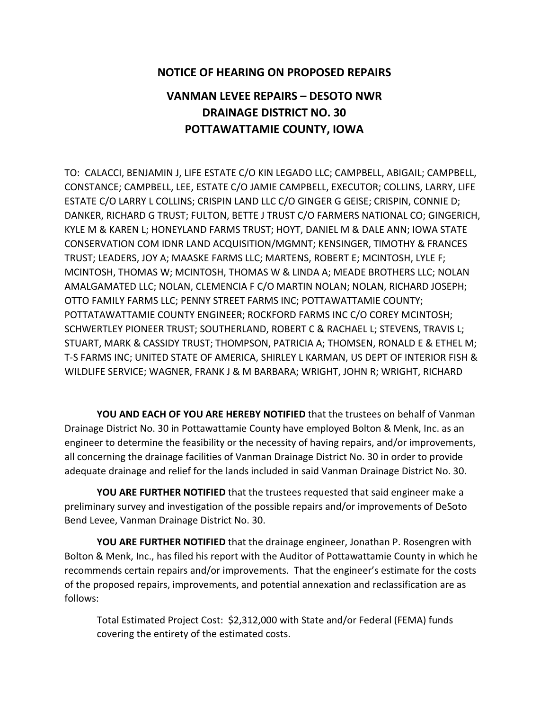## **NOTICE OF HEARING ON PROPOSED REPAIRS**

## **VANMAN LEVEE REPAIRS – DESOTO NWR DRAINAGE DISTRICT NO. 30 POTTAWATTAMIE COUNTY, IOWA**

TO: CALACCI, BENJAMIN J, LIFE ESTATE C/O KIN LEGADO LLC; CAMPBELL, ABIGAIL; CAMPBELL, CONSTANCE; CAMPBELL, LEE, ESTATE C/O JAMIE CAMPBELL, EXECUTOR; COLLINS, LARRY, LIFE ESTATE C/O LARRY L COLLINS; CRISPIN LAND LLC C/O GINGER G GEISE; CRISPIN, CONNIE D; DANKER, RICHARD G TRUST; FULTON, BETTE J TRUST C/O FARMERS NATIONAL CO; GINGERICH, KYLE M & KAREN L; HONEYLAND FARMS TRUST; HOYT, DANIEL M & DALE ANN; IOWA STATE CONSERVATION COM IDNR LAND ACQUISITION/MGMNT; KENSINGER, TIMOTHY & FRANCES TRUST; LEADERS, JOY A; MAASKE FARMS LLC; MARTENS, ROBERT E; MCINTOSH, LYLE F; MCINTOSH, THOMAS W; MCINTOSH, THOMAS W & LINDA A; MEADE BROTHERS LLC; NOLAN AMALGAMATED LLC; NOLAN, CLEMENCIA F C/O MARTIN NOLAN; NOLAN, RICHARD JOSEPH; OTTO FAMILY FARMS LLC; PENNY STREET FARMS INC; POTTAWATTAMIE COUNTY; POTTATAWATTAMIE COUNTY ENGINEER; ROCKFORD FARMS INC C/O COREY MCINTOSH; SCHWERTLEY PIONEER TRUST; SOUTHERLAND, ROBERT C & RACHAEL L; STEVENS, TRAVIS L; STUART, MARK & CASSIDY TRUST; THOMPSON, PATRICIA A; THOMSEN, RONALD E & ETHEL M; T-S FARMS INC; UNITED STATE OF AMERICA, SHIRLEY L KARMAN, US DEPT OF INTERIOR FISH & WILDLIFE SERVICE; WAGNER, FRANK J & M BARBARA; WRIGHT, JOHN R; WRIGHT, RICHARD

**YOU AND EACH OF YOU ARE HEREBY NOTIFIED** that the trustees on behalf of Vanman Drainage District No. 30 in Pottawattamie County have employed Bolton & Menk, Inc. as an engineer to determine the feasibility or the necessity of having repairs, and/or improvements, all concerning the drainage facilities of Vanman Drainage District No. 30 in order to provide adequate drainage and relief for the lands included in said Vanman Drainage District No. 30.

**YOU ARE FURTHER NOTIFIED** that the trustees requested that said engineer make a preliminary survey and investigation of the possible repairs and/or improvements of DeSoto Bend Levee, Vanman Drainage District No. 30.

**YOU ARE FURTHER NOTIFIED** that the drainage engineer, Jonathan P. Rosengren with Bolton & Menk, Inc., has filed his report with the Auditor of Pottawattamie County in which he recommends certain repairs and/or improvements. That the engineer's estimate for the costs of the proposed repairs, improvements, and potential annexation and reclassification are as follows:

Total Estimated Project Cost: \$2,312,000 with State and/or Federal (FEMA) funds covering the entirety of the estimated costs.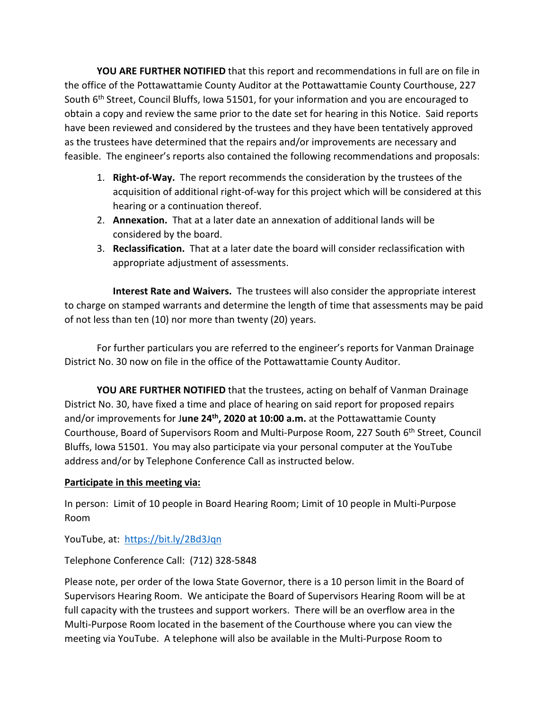**YOU ARE FURTHER NOTIFIED** that this report and recommendations in full are on file in the office of the Pottawattamie County Auditor at the Pottawattamie County Courthouse, 227 South  $6<sup>th</sup>$  Street, Council Bluffs, Iowa 51501, for your information and you are encouraged to obtain a copy and review the same prior to the date set for hearing in this Notice. Said reports have been reviewed and considered by the trustees and they have been tentatively approved as the trustees have determined that the repairs and/or improvements are necessary and feasible. The engineer's reports also contained the following recommendations and proposals:

- 1. **Right-of-Way.** The report recommends the consideration by the trustees of the acquisition of additional right-of-way for this project which will be considered at this hearing or a continuation thereof.
- 2. **Annexation.** That at a later date an annexation of additional lands will be considered by the board.
- 3. **Reclassification.** That at a later date the board will consider reclassification with appropriate adjustment of assessments.

**Interest Rate and Waivers.** The trustees will also consider the appropriate interest to charge on stamped warrants and determine the length of time that assessments may be paid of not less than ten (10) nor more than twenty (20) years.

For further particulars you are referred to the engineer's reports for Vanman Drainage District No. 30 now on file in the office of the Pottawattamie County Auditor.

**YOU ARE FURTHER NOTIFIED** that the trustees, acting on behalf of Vanman Drainage District No. 30, have fixed a time and place of hearing on said report for proposed repairs and/or improvements for J**une 24th, 2020 at 10:00 a.m.** at the Pottawattamie County Courthouse, Board of Supervisors Room and Multi-Purpose Room, 227 South 6<sup>th</sup> Street, Council Bluffs, Iowa 51501. You may also participate via your personal computer at the YouTube address and/or by Telephone Conference Call as instructed below.

## **Participate in this meeting via:**

In person: Limit of 10 people in Board Hearing Room; Limit of 10 people in Multi-Purpose Room

YouTube, at: <https://bit.ly/2Bd3Jqn>

Telephone Conference Call: (712) 328-5848

Please note, per order of the Iowa State Governor, there is a 10 person limit in the Board of Supervisors Hearing Room. We anticipate the Board of Supervisors Hearing Room will be at full capacity with the trustees and support workers. There will be an overflow area in the Multi-Purpose Room located in the basement of the Courthouse where you can view the meeting via YouTube. A telephone will also be available in the Multi-Purpose Room to